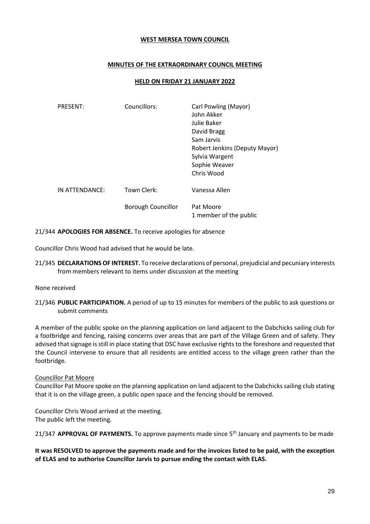#### **WEST MERSEA TOWN COUNCIL**

## **MINUTES OF THE EXTRAORDINARY COUNCIL MEETING**

### **HELD ON FRIDAY 21 JANUARY 2022**

| <b>PRESENT:</b> | Councillors:              | Carl Powling (Mayor)<br>John Akker<br>Julie Baker<br>David Bragg<br>Sam Jarvis<br>Robert Jenkins (Deputy Mayor)<br>Sylvia Wargent<br>Sophie Weaver<br>Chris Wood |
|-----------------|---------------------------|------------------------------------------------------------------------------------------------------------------------------------------------------------------|
| IN ATTENDANCE:  | Town Clerk:               | Vanessa Allen                                                                                                                                                    |
|                 | <b>Borough Councillor</b> | Pat Moore<br>1 member of the public                                                                                                                              |

21/344 **APOLOGIES FOR ABSENCE.** To receive apologies for absence

Councillor Chris Wood had advised that he would be late.

21/345 **DECLARATIONS OF INTEREST.** To receive declarations of personal, prejudicial and pecuniary interests from members relevant to items under discussion at the meeting

#### None received

21/346 **PUBLIC PARTICIPATION.** A period of up to 15 minutes for members of the public to ask questions or submit comments

A member of the public spoke on the planning application on land adjacent to the Dabchicks sailing club for a footbridge and fencing, raising concerns over areas that are part of the Village Green and of safety. They advised that signage isstill in place stating that DSC have exclusive rights to the foreshore and requested that the Council intervene to ensure that all residents are entitled access to the village green rather than the footbridge.

# Councillor Pat Moore

Councillor Pat Moore spoke on the planning application on land adjacent to the Dabchicks sailing club stating that it is on the village green, a public open space and the fencing should be removed.

Councillor Chris Wood arrived at the meeting. The public left the meeting.

21/347 **APPROVAL OF PAYMENTS.** To approve payments made since 5th January and payments to be made

**It was RESOLVED to approve the payments made and for the invoices listed to be paid, with the exception of ELAS and to authorise Councillor Jarvis to pursue ending the contact with ELAS.**